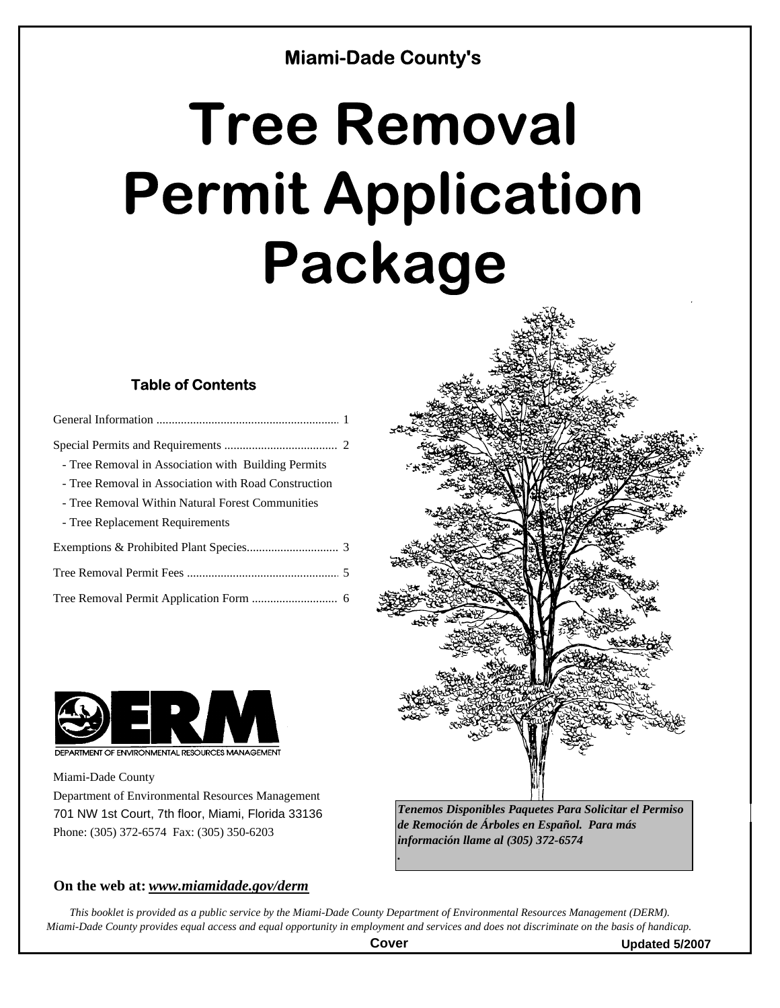# **Miami-Dade County's**

# **Tree Removal Permit Application Package**

## **Table of Contents**

| - Tree Removal in Association with Building Permits  |  |
|------------------------------------------------------|--|
| - Tree Removal in Association with Road Construction |  |
| - Tree Removal Within Natural Forest Communities     |  |
| - Tree Replacement Requirements                      |  |
|                                                      |  |
|                                                      |  |
|                                                      |  |



DEPARTMENT OF ENVIRONMENTAL RESOURCES MANAGEMENT

#### Miami-Dade County

Department of Environmental Resources Management Phone: (305) 372-6574 Fax: (305) 350-6203 701 NW 1st Court, 7th floor, Miami, Florida 33136

#### **On the web at:** *www.miamidade.gov/derm*

*Tenemos Disponibles Paquetes Para Solicitar el Permiso de Remoción de Árboles en Español. Para más información llame al (305) 372-6574 .*

*This booklet is provided as a public service by the Miami-Dade County Department of Environmental Resources Management (DERM). Miami-Dade County provides equal access and equal opportunity in employment and services and does not discriminate on the basis of handicap.*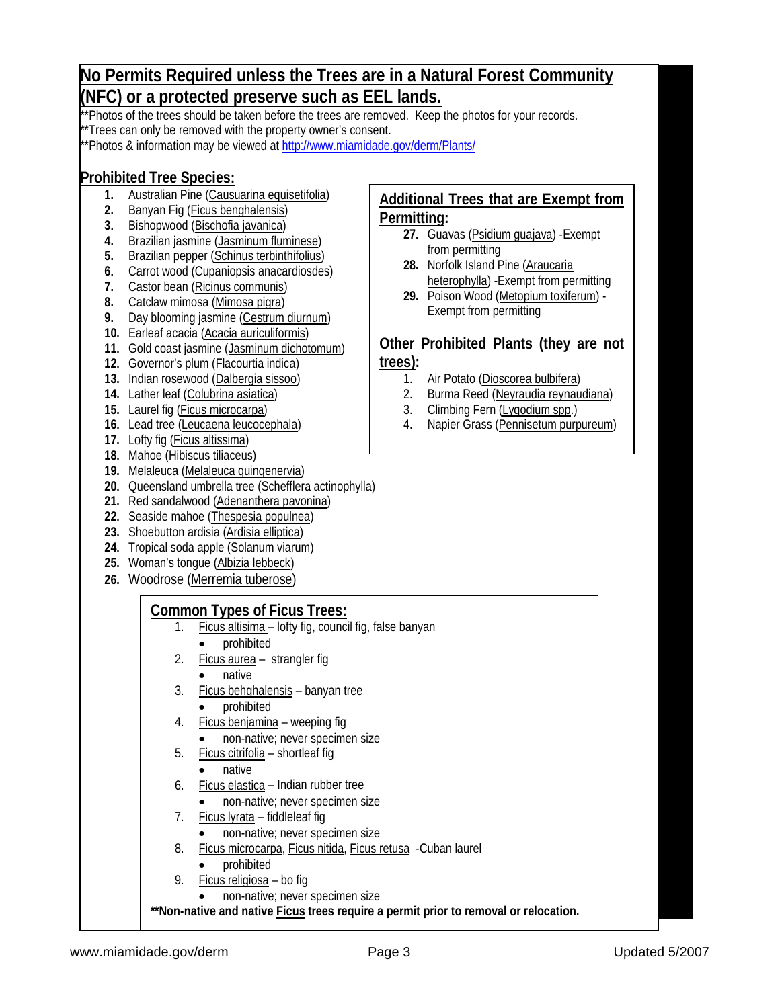## **No Permits Required unless the Trees are in a Natural Forest Community (NFC) or a protected preserve such as EEL lands.**

\*Photos of the trees should be taken before the trees are removed. Keep the photos for your records.

\*Trees can only be removed with the property owner's consent.

\*Photos & information may be viewed at http://www.miamidade.gov/derm/Plants/

#### **Prohibited Tree Species:**

- **1.** Australian Pine (Causuarina equisetifolia)
- **2.** Banyan Fig (Ficus benghalensis)
- **3.** Bishopwood (Bischofia javanica)
- **4.** Brazilian jasmine (Jasminum fluminese)
- **5.** Brazilian pepper (Schinus terbinthifolius)
- **6.** Carrot wood (Cupaniopsis anacardiosdes)
- **7.** Castor bean (Ricinus communis)
- **8.** Catclaw mimosa (Mimosa pigra)
- **9.** Day blooming jasmine (Cestrum diurnum)
- **10.** Earleaf acacia (Acacia auriculiformis)
- **11.** Gold coast jasmine (Jasminum dichotomum)
- **12.** Governor's plum (Flacourtia indica)
- **13.** Indian rosewood (Dalbergia sissoo)
- **14.** Lather leaf (Colubrina asiatica)
- **15.** Laurel fig (Ficus microcarpa)
- **16.** Lead tree (Leucaena leucocephala)
- **17.** Lofty fig (Ficus altissima)
- **18.** Mahoe (Hibiscus tiliaceus)
- **19.** Melaleuca (Melaleuca quinqenervia)
- **20.** Queensland umbrella tree (Schefflera actinophylla)
- **21.** Red sandalwood (Adenanthera pavonina)
- **22.** Seaside mahoe (Thespesia populnea)
- **23.** Shoebutton ardisia (Ardisia elliptica)
- **24.** Tropical soda apple (Solanum viarum)
- **25.** Woman's tongue (Albizia lebbeck)
- **26.** Woodrose (Merremia tuberose)

#### **Common Types of Ficus Trees:**

- 1. Ficus altisima lofty fig, council fig, false banyan
	- prohibited
- 2. Ficus aurea strangler fig
	- native
- 3. Ficus behghalensis banyan tree
	- prohibited
- 4. Ficus benjamina weeping fig
	- non-native; never specimen size
- 5. Ficus citrifolia shortleaf fig
	- native
- 6. Ficus elastica Indian rubber tree
	- non-native; never specimen size
- 7. Ficus lyrata fiddleleaf fig
	- non-native; never specimen size
- 8. Ficus microcarpa, Ficus nitida, Ficus retusa -Cuban laurel
	- prohibited
- 9. Ficus religiosa bo fig
	- non-native; never specimen size

\*Non-native and native **Ficus** trees require a permit prior to removal or relocation.

#### **Additional Trees that are Exempt from Permitting:**

- **27.** Guavas (Psidium guajava) -Exempt from permitting
- 28. Norfolk Island Pine (Araucaria heterophylla) -Exempt from permitting
- **29.** Poison Wood (Metopium toxiferum) Exempt from permitting

#### **Other Prohibited Plants (they are not trees):**

- 1. Air Potato (Dioscorea bulbifera)
- 2. Burma Reed (Neyraudia reynaudiana)
- 3. Climbing Fern (Lygodium spp.)
- 4. Napier Grass (Pennisetum purpureum)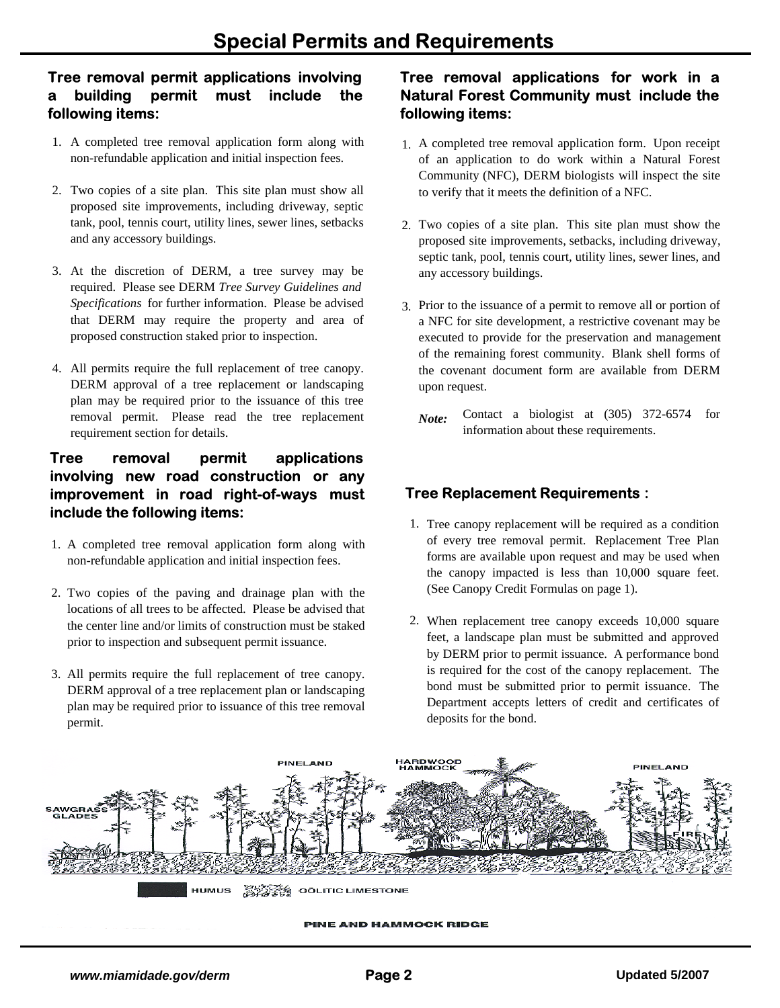#### **Tree removal permit applications involving a building permit must include the following items:**

- 1. A completed tree removal application form along with non-refundable application and initial inspection fees.
- Two copies of a site plan. This site plan must show all 2. proposed site improvements, including driveway, septic tank, pool, tennis court, utility lines, sewer lines, setbacks and any accessory buildings.
- At the discretion of DERM, a tree survey may be 3. required. Please see DERM *Tree Survey Guidelines and Specifications* for further information. Please be advised that DERM may require the property and area of proposed construction staked prior to inspection.
- All permits require the full replacement of tree canopy. 4. DERM approval of a tree replacement or landscaping plan may be required prior to the issuance of this tree removal permit. Please read the tree replacement requirement section for details.

#### **Tree removal permit applications involving new road construction or any improvement in road right-of-ways must include the following items:**

- 1. A completed tree removal application form along with non-refundable application and initial inspection fees.
- 2. Two copies of the paving and drainage plan with the locations of all trees to be affected. Please be advised that the center line and/or limits of construction must be staked prior to inspection and subsequent permit issuance.
- 3. All permits require the full replacement of tree canopy. DERM approval of a tree replacement plan or landscaping plan may be required prior to issuance of this tree removal permit.

## **Tree removal applications for work in a Natural Forest Community must include the following items:**

- 1. A completed tree removal application form. Upon receipt of an application to do work within a Natural Forest Community (NFC), DERM biologists will inspect the site to verify that it meets the definition of a NFC.
- 2. Two copies of a site plan. This site plan must show the proposed site improvements, setbacks, including driveway, septic tank, pool, tennis court, utility lines, sewer lines, and any accessory buildings.
- 3. Prior to the issuance of a permit to remove all or portion of a NFC for site development, a restrictive covenant may be executed to provide for the preservation and management of the remaining forest community. Blank shell forms of the covenant document form are available from DERM upon request.
	- *Note:*  Contact a biologist at (305) 372-6574 for information about these requirements.

## **Tree Replacement Requirements :**

- 1. Tree canopy replacement will be required as a condition of every tree removal permit. Replacement Tree Plan forms are available upon request and may be used when the canopy impacted is less than 10,000 square feet. (See Canopy Credit Formulas on page 1).
- 2. When replacement tree canopy exceeds 10,000 square feet, a landscape plan must be submitted and approved by DERM prior to permit issuance. A performance bond is required for the cost of the canopy replacement. The bond must be submitted prior to permit issuance. The Department accepts letters of credit and certificates of deposits for the bond.



#### **PINE AND HAMMOCK RIDGE**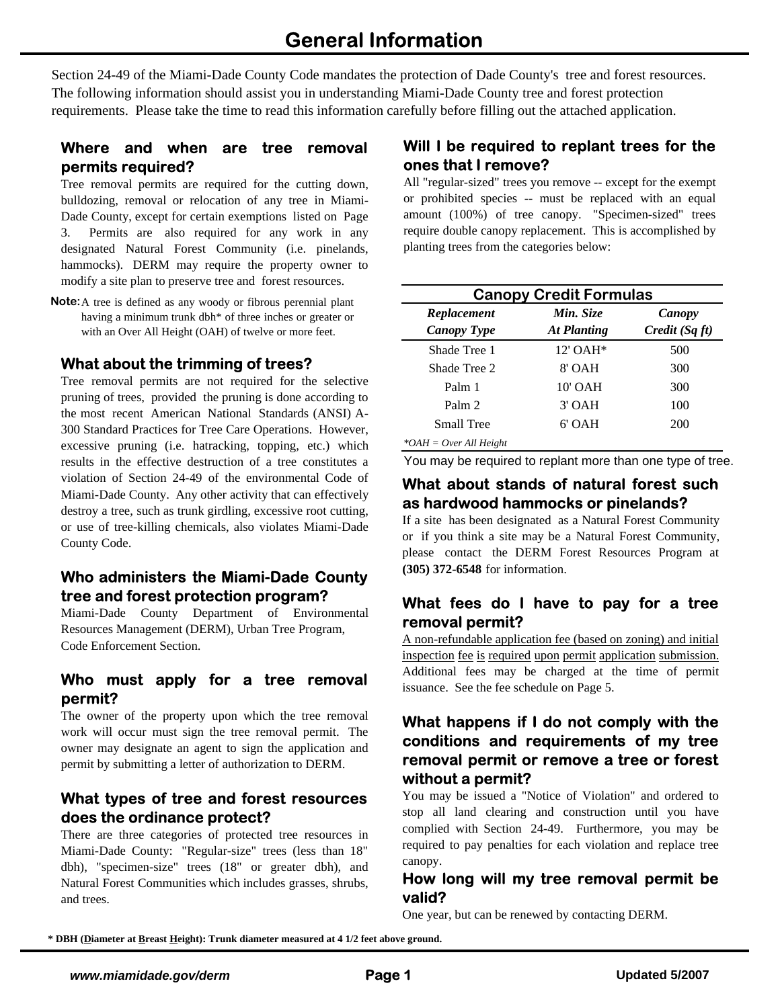Section 24-49 of the Miami-Dade County Code mandates the protection of Dade County's tree and forest resources. The following information should assist you in understanding Miami-Dade County tree and forest protection requirements. Please take the time to read this information carefully before filling out the attached application.

#### **Where and when are tree removal permits required?**

Tree removal permits are required for the cutting down, bulldozing, removal or relocation of any tree in Miami-Dade County, except for certain exemptions listed on Page 3. Permits are also required for any work in any designated Natural Forest Community (i.e. pinelands, hammocks). DERM may require the property owner to modify a site plan to preserve tree and forest resources.

Note: A tree is defined as any woody or fibrous perennial plant having a minimum trunk dbh\* of three inches or greater or with an Over All Height (OAH) of twelve or more feet.

#### **What about the trimming of trees?**

Tree removal permits are not required for the selective pruning of trees, provided the pruning is done according to the most recent American National Standards (ANSI) A-300 Standard Practices for Tree Care Operations. However, excessive pruning (i.e. hatracking, topping, etc.) which results in the effective destruction of a tree constitutes a violation of Section 24-49 of the environmental Code of Miami-Dade County. Any other activity that can effectively destroy a tree, such as trunk girdling, excessive root cutting, or use of tree-killing chemicals, also violates Miami-Dade County Code.

#### **Who administers the Miami-Dade County tree and forest protection program?**

Miami-Dade County Department of Environmental Resources Management (DERM), Urban Tree Program, Code Enforcement Section.

#### **Who must apply for a tree removal permit?**

The owner of the property upon which the tree removal work will occur must sign the tree removal permit. The owner may designate an agent to sign the application and permit by submitting a letter of authorization to DERM.

#### **What types of tree and forest resources does the ordinance protect?**

There are three categories of protected tree resources in Miami-Dade County: "Regular-size" trees (less than 18" dbh), "specimen-size" trees (18" or greater dbh), and Natural Forest Communities which includes grasses, shrubs, and trees.

## **Will I be required to replant trees for the ones that I remove?**

All "regular-sized" trees you remove -- except for the exempt or prohibited species -- must be replaced with an equal amount (100%) of tree canopy. "Specimen-sized" trees require double canopy replacement. This is accomplished by planting trees from the categories below:

| <b>Canopy Credit Formulas</b>     |                                 |                        |  |
|-----------------------------------|---------------------------------|------------------------|--|
| Replacement<br><b>Canopy Type</b> | Min. Size<br><b>At Planting</b> | Canopy<br>Credit(Sqft) |  |
| Shade Tree 1                      | $12' OAH*$                      | 500                    |  |
| Shade Tree 2                      | $8'$ OAH                        | 300                    |  |
| Palm 1                            | 10' OAH                         | 300                    |  |
| Palm 2                            | $3'$ OAH                        | 100                    |  |
| Small Tree                        | $6'$ OAH                        | 200                    |  |
| $*OAH = Over All Height$          |                                 |                        |  |

You may be required to replant more than one type of tree.

#### **What about stands of natural forest such as hardwood hammocks or pinelands?**

If a site has been designated as a Natural Forest Community or if you think a site may be a Natural Forest Community, please contact the DERM Forest Resources Program at **(305) 372-6548** for information.

#### **What fees do I have to pay for a tree removal permit?**

A non-refundable application fee (based on zoning) and initial inspection fee is required upon permit application submission. Additional fees may be charged at the time of permit issuance. See the fee schedule on Page 5.

#### **What happens if I do not comply with the conditions and requirements of my tree removal permit or remove a tree or forest without a permit?**

You may be issued a "Notice of Violation" and ordered to stop all land clearing and construction until you have complied with Section 24-49. Furthermore, you may be required to pay penalties for each violation and replace tree canopy.

#### **How long will my tree removal permit be valid?**

One year, but can be renewed by contacting DERM.

**\* DBH (Diameter at Breast Height): Trunk diameter measured at 4 1/2 feet above ground.**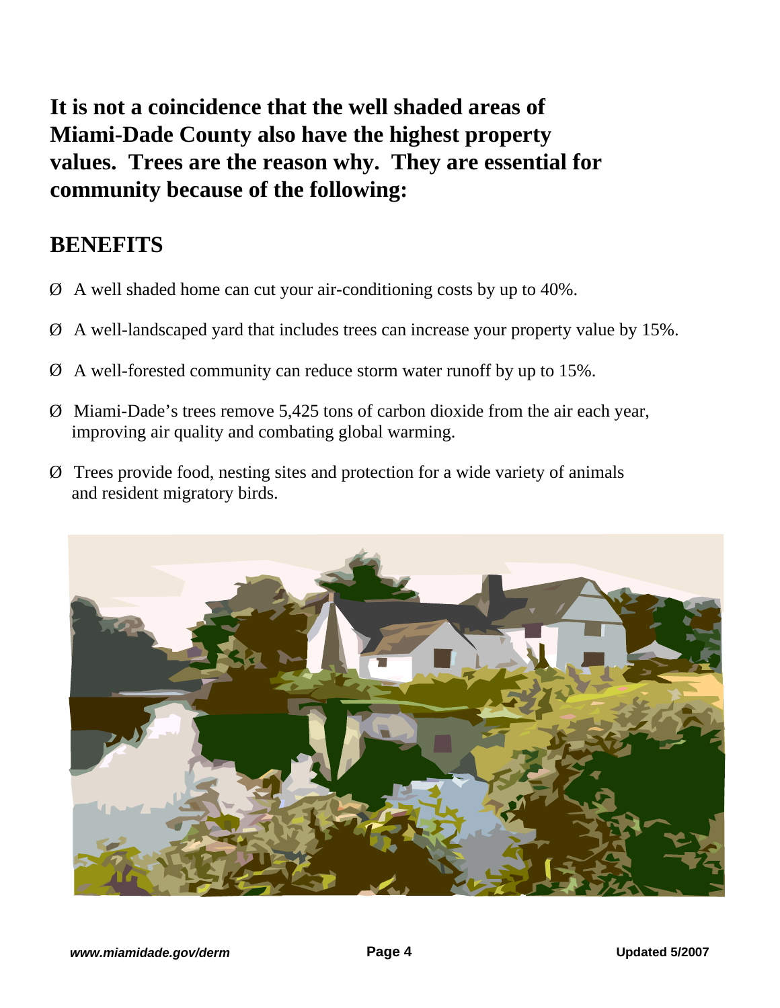**It is not a coincidence that the well shaded areas of Miami-Dade County also have the highest property values. Trees are the reason why. They are essential for community because of the following:**

# **BENEFITS**

- Ø A well shaded home can cut your air-conditioning costs by up to 40%.
- Ø A well-landscaped yard that includes trees can increase your property value by 15%.
- Ø A well-forested community can reduce storm water runoff by up to 15%.
- Ø Miami-Dade's trees remove 5,425 tons of carbon dioxide from the air each year, improving air quality and combating global warming.
- Ø Trees provide food, nesting sites and protection for a wide variety of animals and resident migratory birds.

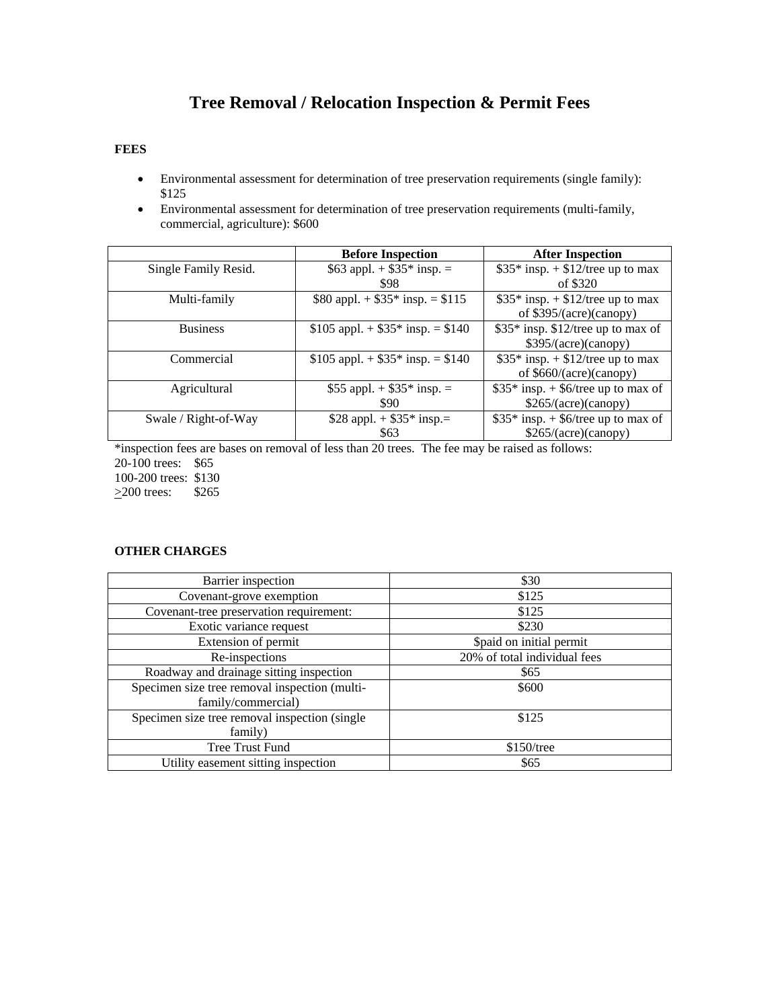## **Tree Removal / Relocation Inspection & Permit Fees**

#### **FEES**

- Environmental assessment for determination of tree preservation requirements (single family): \$125
- Environmental assessment for determination of tree preservation requirements (multi-family, commercial, agriculture): \$600

|                      | <b>Before Inspection</b>            | <b>After Inspection</b>              |  |
|----------------------|-------------------------------------|--------------------------------------|--|
| Single Family Resid. | \$63 appl. $+$ \$35* insp. =        | $$35*$ insp. + \$12/tree up to max   |  |
|                      | \$98                                | of \$320                             |  |
| Multi-family         | \$80 appl. $+$ \$35* insp. = \$115  | $$35*$ insp. + \$12/tree up to max   |  |
|                      |                                     | of \$395/(acre)(canopy)              |  |
| <b>Business</b>      | \$105 appl. $+$ \$35* insp. = \$140 | $$35*$ insp. \$12/tree up to max of  |  |
|                      |                                     | \$395/(acre)(canopy)                 |  |
| Commercial           | \$105 appl. $+$ \$35* insp. = \$140 | $$35*$ insp. + \$12/tree up to max   |  |
|                      |                                     | of \$660/(acre)(canopy)              |  |
| Agricultural         | \$55 appl. $+$ \$35* insp. =        | $$35*$ insp. + \$6/tree up to max of |  |
|                      | \$90                                | \$265/(acre)(canopy)                 |  |
| Swale / Right-of-Way | \$28 appl. $+$ \$35* insp.=         | $$35*$ insp. + \$6/tree up to max of |  |
|                      | \$63                                | \$265/(acre)(canopy)                 |  |

\*inspection fees are bases on removal of less than 20 trees. The fee may be raised as follows: 20-100 trees: \$65 100-200 trees: \$130<br> $\geq$ 200 trees: \$265  $\geq$ 200 trees:

#### **OTHER CHARGES**

| Barrier inspection                            | \$30                         |
|-----------------------------------------------|------------------------------|
| Covenant-grove exemption                      | \$125                        |
| Covenant-tree preservation requirement:       | \$125                        |
| Exotic variance request                       | \$230                        |
| Extension of permit                           | \$paid on initial permit     |
| Re-inspections                                | 20% of total individual fees |
| Roadway and drainage sitting inspection       | \$65                         |
| Specimen size tree removal inspection (multi- | \$600                        |
| family/commercial)                            |                              |
| Specimen size tree removal inspection (single | \$125                        |
| family)                                       |                              |
| Tree Trust Fund                               | $$150$ /tree                 |
| Utility easement sitting inspection           | \$65                         |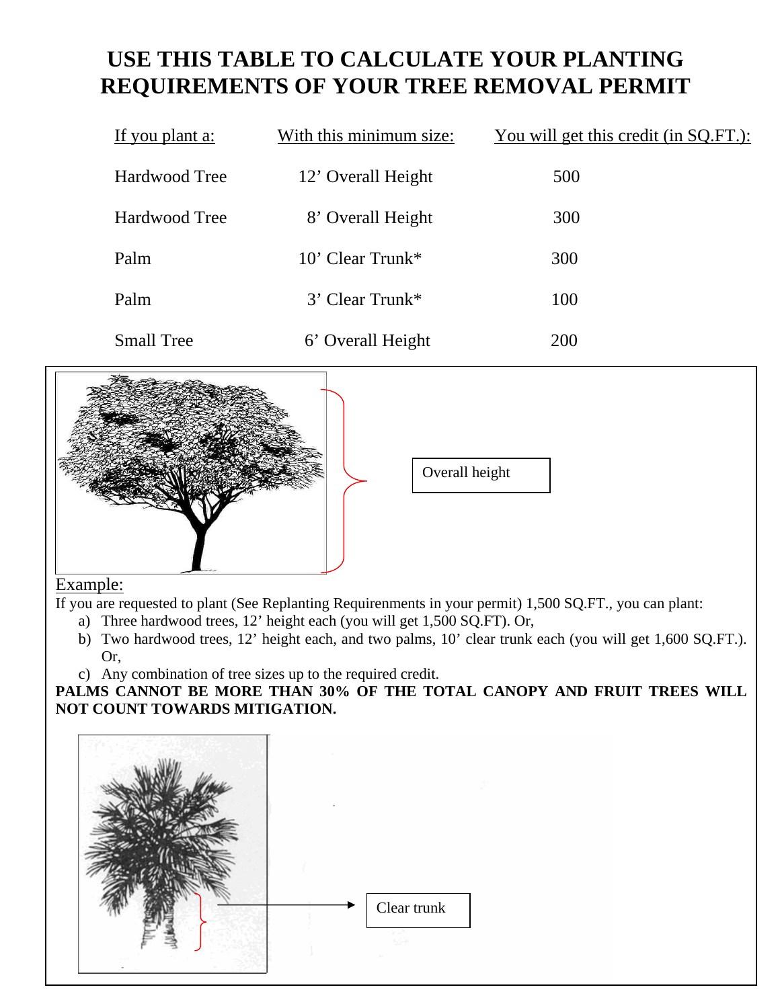# **USE THIS TABLE TO CALCULATE YOUR PLANTING REQUIREMENTS OF YOUR TREE REMOVAL PERMIT**

| If you plant a:      | With this minimum size:        | You will get this credit (in SQ.FT.): |
|----------------------|--------------------------------|---------------------------------------|
| <b>Hardwood Tree</b> | 12' Overall Height             | 500                                   |
| Hardwood Tree        | 8' Overall Height              | 300                                   |
| Palm                 | $10'$ Clear Trunk <sup>*</sup> | 300                                   |
| Palm                 | 3' Clear Trunk*                | 100                                   |
| <b>Small Tree</b>    | 6' Overall Height              | 200                                   |



| Overall height |  |
|----------------|--|
|                |  |

## Example:

If you are requested to plant (See Replanting Requirenments in your permit) 1,500 SQ.FT., you can plant:

- a) Three hardwood trees, 12' height each (you will get 1,500 SQ.FT). Or,
- b) Two hardwood trees, 12' height each, and two palms, 10' clear trunk each (you will get 1,600 SQ.FT.). Or,
- c) Any combination of tree sizes up to the required credit.

PALMS CANNOT BE MORE THAN 30% OF THE TOTAL CANOPY AND FRUIT TREES WILL **NOT COUNT TOWARDS MITIGATION.**